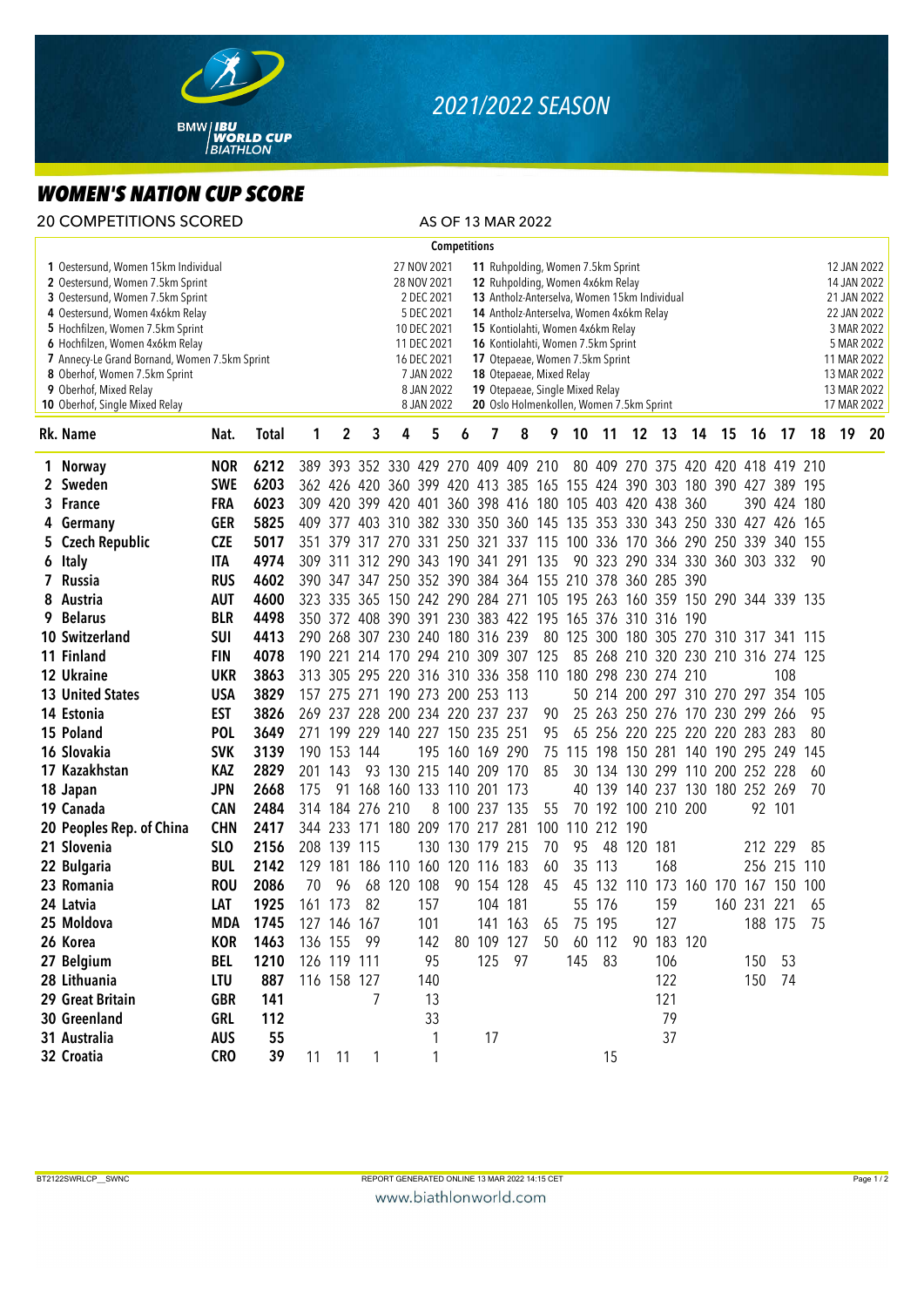

## *2021/2022 SEASON*

## *WOMEN'S NATION CUP SCORE*

| <b>20 COMPETITIONS SCORED</b>                                                                                                                                                                                                                                                                                                                                       |            |              |     |                                                                                                                                                                                                                                                                                                                                                                                                                                                                                                                                             |             |                                 |     |                     |                 | AS OF 13 MAR 2022                                                       |     |                                        |             |                    |            |  |                                    |                |             |     |                                                                                                                                                  |    |
|---------------------------------------------------------------------------------------------------------------------------------------------------------------------------------------------------------------------------------------------------------------------------------------------------------------------------------------------------------------------|------------|--------------|-----|---------------------------------------------------------------------------------------------------------------------------------------------------------------------------------------------------------------------------------------------------------------------------------------------------------------------------------------------------------------------------------------------------------------------------------------------------------------------------------------------------------------------------------------------|-------------|---------------------------------|-----|---------------------|-----------------|-------------------------------------------------------------------------|-----|----------------------------------------|-------------|--------------------|------------|--|------------------------------------|----------------|-------------|-----|--------------------------------------------------------------------------------------------------------------------------------------------------|----|
|                                                                                                                                                                                                                                                                                                                                                                     |            |              |     |                                                                                                                                                                                                                                                                                                                                                                                                                                                                                                                                             |             |                                 |     | <b>Competitions</b> |                 |                                                                         |     |                                        |             |                    |            |  |                                    |                |             |     |                                                                                                                                                  |    |
| 1 Oestersund, Women 15km Individual<br>2 Oestersund, Women 7.5km Sprint<br>3 Oestersund, Women 7.5km Sprint<br>4 Oestersund, Women 4x6km Relay<br>5 Hochfilzen, Women 7.5km Sprint<br>6 Hochfilzen, Women 4x6km Relay<br>7 Annecy-Le Grand Bornand, Women 7.5km Sprint<br>8 Oberhof, Women 7.5km Sprint<br>9 Oberhof, Mixed Relay<br>10 Oberhof, Single Mixed Relay |            |              |     | 27 NOV 2021<br>11 Ruhpolding, Women 7.5km Sprint<br>12 Ruhpolding, Women 4x6km Relay<br>28 NOV 2021<br>2 DEC 2021<br>13 Antholz-Anterselva, Women 15km Individual<br>5 DEC 2021<br>14 Antholz-Anterselva, Women 4x6km Relay<br>10 DEC 2021<br>15 Kontiolahti, Women 4x6km Relay<br>11 DEC 2021<br>16 Kontiolahti, Women 7.5km Sprint<br>16 DEC 2021<br>17 Otepaeae, Women 7.5km Sprint<br>7 JAN 2022<br>18 Otepaeae, Mixed Relay<br>8 JAN 2022<br>19 Otepaeae, Single Mixed Relay<br>20 Oslo Holmenkollen, Women 7.5km Sprint<br>8 JAN 2022 |             |                                 |     |                     |                 |                                                                         |     |                                        |             |                    |            |  |                                    |                |             |     | 12 JAN 2022<br>14 JAN 2022<br>21 JAN 2022<br>22 JAN 2022<br>3 MAR 2022<br>5 MAR 2022<br>11 MAR 2022<br>13 MAR 2022<br>13 MAR 2022<br>17 MAR 2022 |    |
| Rk. Name                                                                                                                                                                                                                                                                                                                                                            | Nat.       | <b>Total</b> | 1   | 2                                                                                                                                                                                                                                                                                                                                                                                                                                                                                                                                           | 3           | 4                               | 5   | 6                   | 7               | 8                                                                       | 9   | 10                                     | 11          |                    | 12 13      |  | 14 15                              | 16             | 17          | 18  | 19                                                                                                                                               | 20 |
| 1 Norway                                                                                                                                                                                                                                                                                                                                                            | <b>NOR</b> | 6212         |     |                                                                                                                                                                                                                                                                                                                                                                                                                                                                                                                                             |             |                                 |     |                     |                 | 389 393 352 330 429 270 409 409 210                                     |     |                                        |             |                    |            |  | 80 409 270 375 420 420 418 419 210 |                |             |     |                                                                                                                                                  |    |
| 2 Sweden                                                                                                                                                                                                                                                                                                                                                            | <b>SWE</b> | 6203         |     |                                                                                                                                                                                                                                                                                                                                                                                                                                                                                                                                             |             |                                 |     |                     |                 | 362 426 420 360 399 420 413 385 165 155 424 390 303 180 390 427 389 195 |     |                                        |             |                    |            |  |                                    |                |             |     |                                                                                                                                                  |    |
| 3 France                                                                                                                                                                                                                                                                                                                                                            | <b>FRA</b> | 6023         |     |                                                                                                                                                                                                                                                                                                                                                                                                                                                                                                                                             |             |                                 |     |                     |                 | 309 420 399 420 401 360 398 416 180 105 403 420 438 360                 |     |                                        |             |                    |            |  |                                    |                | 390 424 180 |     |                                                                                                                                                  |    |
| 4 Germany                                                                                                                                                                                                                                                                                                                                                           | <b>GER</b> | 5825         |     |                                                                                                                                                                                                                                                                                                                                                                                                                                                                                                                                             |             |                                 |     |                     |                 | 409 377 403 310 382 330 350 360 145 135 353 330 343 250 330 427 426 165 |     |                                        |             |                    |            |  |                                    |                |             |     |                                                                                                                                                  |    |
| 5 Czech Republic                                                                                                                                                                                                                                                                                                                                                    | <b>CZE</b> | 5017         |     | 351 379                                                                                                                                                                                                                                                                                                                                                                                                                                                                                                                                     |             |                                 |     |                     |                 | 317 270 331 250 321 337 115 100 336 170 366 290 250 339 340 155         |     |                                        |             |                    |            |  |                                    |                |             |     |                                                                                                                                                  |    |
| 6 Italy                                                                                                                                                                                                                                                                                                                                                             | <b>ITA</b> | 4974         |     |                                                                                                                                                                                                                                                                                                                                                                                                                                                                                                                                             |             |                                 |     |                     |                 | 309 311 312 290 343 190 341 291 135                                     |     |                                        |             |                    |            |  | 90 323 290 334 330 360 303 332     |                |             | 90  |                                                                                                                                                  |    |
| 7 Russia                                                                                                                                                                                                                                                                                                                                                            | <b>RUS</b> | 4602         |     |                                                                                                                                                                                                                                                                                                                                                                                                                                                                                                                                             |             |                                 |     |                     |                 | 390 347 347 250 352 390 384 364 155 210 378 360 285 390                 |     |                                        |             |                    |            |  |                                    |                |             |     |                                                                                                                                                  |    |
| 8 Austria                                                                                                                                                                                                                                                                                                                                                           | <b>AUT</b> | 4600         |     |                                                                                                                                                                                                                                                                                                                                                                                                                                                                                                                                             |             |                                 |     |                     |                 | 323 335 365 150 242 290 284 271 105 195 263 160 359 150 290 344 339 135 |     |                                        |             |                    |            |  |                                    |                |             |     |                                                                                                                                                  |    |
| 9 Belarus                                                                                                                                                                                                                                                                                                                                                           | <b>BLR</b> | 4498         |     |                                                                                                                                                                                                                                                                                                                                                                                                                                                                                                                                             |             |                                 |     |                     |                 | 350 372 408 390 391 230 383 422 195 165 376 310 316 190                 |     |                                        |             |                    |            |  |                                    |                |             |     |                                                                                                                                                  |    |
| 10 Switzerland                                                                                                                                                                                                                                                                                                                                                      | <b>SUI</b> | 4413         |     |                                                                                                                                                                                                                                                                                                                                                                                                                                                                                                                                             |             | 290 268 307 230 240 180 316 239 |     |                     |                 |                                                                         |     | 80 125 300 180 305 270 310 317 341 115 |             |                    |            |  |                                    |                |             |     |                                                                                                                                                  |    |
| 11 Finland                                                                                                                                                                                                                                                                                                                                                          | <b>FIN</b> | 4078         |     |                                                                                                                                                                                                                                                                                                                                                                                                                                                                                                                                             |             |                                 |     |                     |                 | 190 221 214 170 294 210 309 307 125                                     |     |                                        |             |                    |            |  | 85 268 210 320 230 210 316 274 125 |                |             |     |                                                                                                                                                  |    |
| 12 Ukraine                                                                                                                                                                                                                                                                                                                                                          | <b>UKR</b> | 3863         |     |                                                                                                                                                                                                                                                                                                                                                                                                                                                                                                                                             |             |                                 |     |                     |                 | 313 305 295 220 316 310 336 358 110 180 298 230 274 210                 |     |                                        |             |                    |            |  |                                    |                | 108         |     |                                                                                                                                                  |    |
| <b>13 United States</b>                                                                                                                                                                                                                                                                                                                                             | <b>USA</b> | 3829         |     |                                                                                                                                                                                                                                                                                                                                                                                                                                                                                                                                             |             | 157 275 271 190 273 200 253 113 |     |                     |                 |                                                                         |     |                                        |             |                    |            |  | 50 214 200 297 310 270 297 354     |                |             | 105 |                                                                                                                                                  |    |
| 14 Estonia                                                                                                                                                                                                                                                                                                                                                          | <b>EST</b> | 3826         |     |                                                                                                                                                                                                                                                                                                                                                                                                                                                                                                                                             |             | 269 237 228 200 234 220 237 237 |     |                     |                 |                                                                         | 90  |                                        |             |                    |            |  | 25 263 250 276 170 230 299 266     |                |             | 95  |                                                                                                                                                  |    |
| 15 Poland                                                                                                                                                                                                                                                                                                                                                           | <b>POL</b> | 3649         |     |                                                                                                                                                                                                                                                                                                                                                                                                                                                                                                                                             |             | 271 199 229 140 227 150 235 251 |     |                     |                 |                                                                         | 95  |                                        |             |                    |            |  | 65 256 220 225 220 220 283 283     |                |             | 80  |                                                                                                                                                  |    |
| 16 Slovakia                                                                                                                                                                                                                                                                                                                                                         | <b>SVK</b> | 3139         |     | 190 153 144                                                                                                                                                                                                                                                                                                                                                                                                                                                                                                                                 |             |                                 |     |                     | 195 160 169 290 |                                                                         | 75  |                                        |             |                    |            |  | 115 198 150 281 140 190 295 249    |                |             | 145 |                                                                                                                                                  |    |
| 17 Kazakhstan                                                                                                                                                                                                                                                                                                                                                       | <b>KAZ</b> | 2829         |     | 201 143                                                                                                                                                                                                                                                                                                                                                                                                                                                                                                                                     |             | 93 130 215 140 209 170          |     |                     |                 |                                                                         | 85  |                                        |             |                    |            |  | 30 134 130 299 110 200 252 228     |                |             | 60  |                                                                                                                                                  |    |
| 18 Japan                                                                                                                                                                                                                                                                                                                                                            | <b>JPN</b> | 2668         | 175 | 91                                                                                                                                                                                                                                                                                                                                                                                                                                                                                                                                          |             | 168 160 133 110 201 173         |     |                     |                 |                                                                         |     |                                        |             |                    |            |  | 40 139 140 237 130 180 252 269     |                |             | 70  |                                                                                                                                                  |    |
| 19 Canada                                                                                                                                                                                                                                                                                                                                                           | <b>CAN</b> | 2484         | 314 |                                                                                                                                                                                                                                                                                                                                                                                                                                                                                                                                             | 184 276 210 |                                 |     |                     | 8 100 237 135   |                                                                         | 55  |                                        |             | 70 192 100 210 200 |            |  |                                    |                | 92 101      |     |                                                                                                                                                  |    |
| 20 Peoples Rep. of China                                                                                                                                                                                                                                                                                                                                            | <b>CHN</b> | 2417         |     |                                                                                                                                                                                                                                                                                                                                                                                                                                                                                                                                             |             | 344 233 171 180 209 170 217 281 |     |                     |                 |                                                                         | 100 |                                        | 110 212 190 |                    |            |  |                                    |                |             |     |                                                                                                                                                  |    |
| 21 Slovenia                                                                                                                                                                                                                                                                                                                                                         | <b>SLO</b> | 2156         |     | 208 139 115                                                                                                                                                                                                                                                                                                                                                                                                                                                                                                                                 |             |                                 |     |                     | 130 130 179     | 215                                                                     | 70  | 95                                     |             | 48 120 181         |            |  |                                    | 212 229        |             | 85  |                                                                                                                                                  |    |
| 22 Bulgaria                                                                                                                                                                                                                                                                                                                                                         | <b>BUL</b> | 2142         | 129 | 181                                                                                                                                                                                                                                                                                                                                                                                                                                                                                                                                         |             | 186 110 160 120 116 183         |     |                     |                 |                                                                         | 60  |                                        | 35 113      |                    | 168        |  |                                    | 256 215        |             | 110 |                                                                                                                                                  |    |
| 23 Romania                                                                                                                                                                                                                                                                                                                                                          | <b>ROU</b> | 2086         | 70  | 96                                                                                                                                                                                                                                                                                                                                                                                                                                                                                                                                          |             | 68 120                          | 108 |                     | 90 154 128      |                                                                         | 45  |                                        |             |                    |            |  | 45 132 110 173 160 170 167 150 100 |                |             |     |                                                                                                                                                  |    |
| 24 Latvia                                                                                                                                                                                                                                                                                                                                                           | LAT        | 1925         |     | 161 173 82                                                                                                                                                                                                                                                                                                                                                                                                                                                                                                                                  |             |                                 | 157 |                     |                 | 104 181                                                                 |     |                                        | 55 176      |                    | 159        |  |                                    | 160 231 221 65 |             |     |                                                                                                                                                  |    |
| 25 Moldova                                                                                                                                                                                                                                                                                                                                                          | MDA        | 1745         |     | 127 146 167                                                                                                                                                                                                                                                                                                                                                                                                                                                                                                                                 |             |                                 | 101 |                     |                 | 141 163                                                                 | 65  |                                        | 75 195      |                    | 127        |  |                                    |                | 188 175 75  |     |                                                                                                                                                  |    |
| 26 Korea                                                                                                                                                                                                                                                                                                                                                            | <b>KOR</b> | 1463         |     | 136 155 99                                                                                                                                                                                                                                                                                                                                                                                                                                                                                                                                  |             |                                 | 142 |                     |                 | 80 109 127                                                              | 50  |                                        | 60 112      |                    | 90 183 120 |  |                                    |                |             |     |                                                                                                                                                  |    |
| 27 Belgium                                                                                                                                                                                                                                                                                                                                                          | BEL        | 1210         |     | 126 119 111                                                                                                                                                                                                                                                                                                                                                                                                                                                                                                                                 |             |                                 | 95  |                     |                 | 125 97                                                                  |     |                                        | 145 83      |                    | 106        |  |                                    | 150 53         |             |     |                                                                                                                                                  |    |
| 28 Lithuania                                                                                                                                                                                                                                                                                                                                                        | LTU        | 887          |     | 116 158 127                                                                                                                                                                                                                                                                                                                                                                                                                                                                                                                                 |             |                                 | 140 |                     |                 |                                                                         |     |                                        |             |                    | 122        |  |                                    | 150 74         |             |     |                                                                                                                                                  |    |
| 29 Great Britain                                                                                                                                                                                                                                                                                                                                                    | <b>GBR</b> | 141          |     |                                                                                                                                                                                                                                                                                                                                                                                                                                                                                                                                             | 7           |                                 | 13  |                     |                 |                                                                         |     |                                        |             |                    | 121        |  |                                    |                |             |     |                                                                                                                                                  |    |
| 30 Greenland                                                                                                                                                                                                                                                                                                                                                        | GRL        | 112          |     |                                                                                                                                                                                                                                                                                                                                                                                                                                                                                                                                             |             |                                 | 33  |                     |                 |                                                                         |     |                                        |             |                    | 79         |  |                                    |                |             |     |                                                                                                                                                  |    |
| 31 Australia                                                                                                                                                                                                                                                                                                                                                        | <b>AUS</b> | 55           |     |                                                                                                                                                                                                                                                                                                                                                                                                                                                                                                                                             |             |                                 | 1   |                     | 17              |                                                                         |     |                                        |             |                    | 37         |  |                                    |                |             |     |                                                                                                                                                  |    |
| 32 Croatia                                                                                                                                                                                                                                                                                                                                                          | <b>CRO</b> | 39           |     | 11 11                                                                                                                                                                                                                                                                                                                                                                                                                                                                                                                                       |             |                                 |     |                     |                 |                                                                         |     |                                        | 15          |                    |            |  |                                    |                |             |     |                                                                                                                                                  |    |